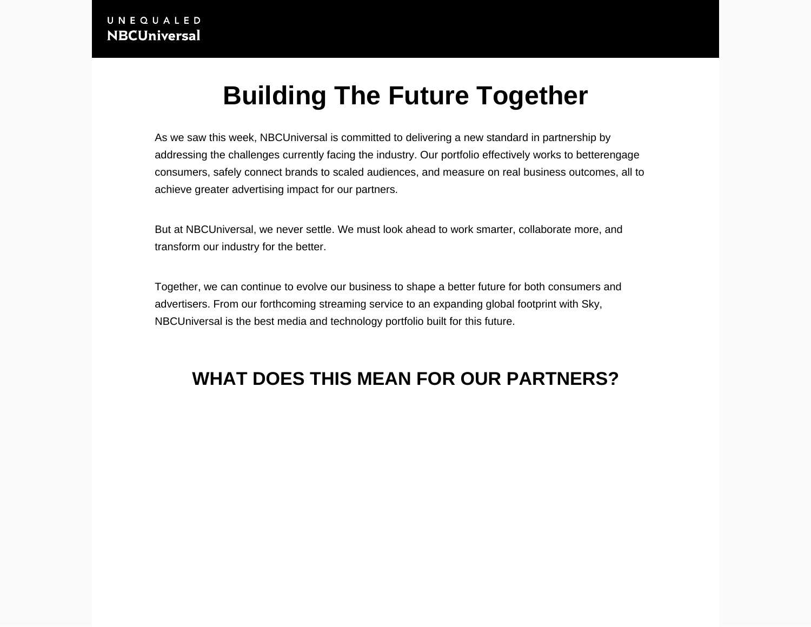## Building The Future Together

As we saw this week, NBCUniversal is committed to delivering a new standard in partnership by addressing the challenges currently facing the industry. Our portfolio effectively works to bette[rengage](https://together.nbcuni.com/setting-the-new-standard/engagement/)  [consumers,](https://together.nbcuni.com/setting-the-new-standard/engagement/) safely connect brands to [scaled audiences](https://together.nbcuni.com/setting-the-new-standard/scale/), and [measure on real business outcomes](https://together.nbcuni.com/setting-the-new-standard/impact/), all to achieve greater advertising impact for our partners.

But at NBCUniversal, we never settle. We must look ahead to work smarter, collaborate more, and transform our industry for the better.

Together, we can continue to evolve our business to shape a better future for both consumers and advertisers. From our forthcoming streaming service to an expanding global footprint with Sky, NBCUniversal is the best media and technology portfolio built for this future.

## WHAT DOES THIS MEAN FOR OUR PARTNERS?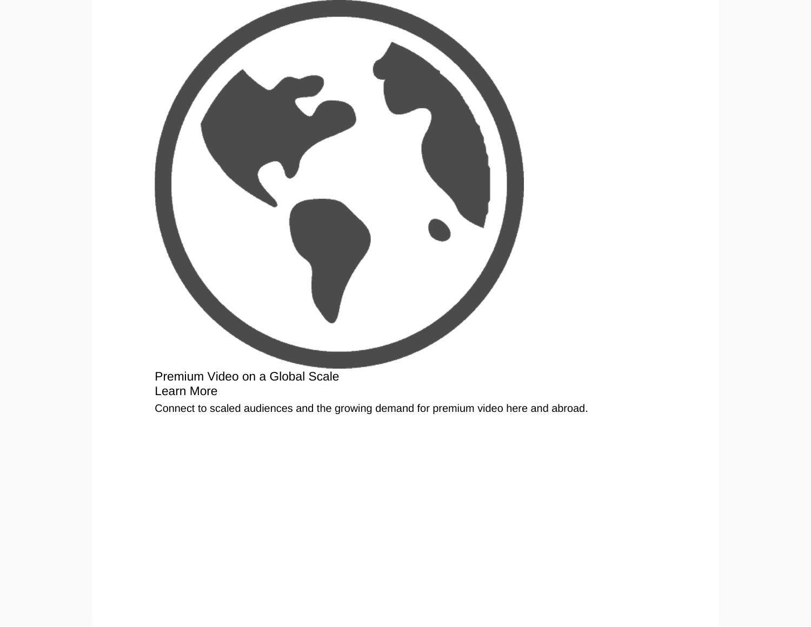Premium Video on a Global Scale Learn More Connect to scaled audiences and the growing demand for premium video here and abroad.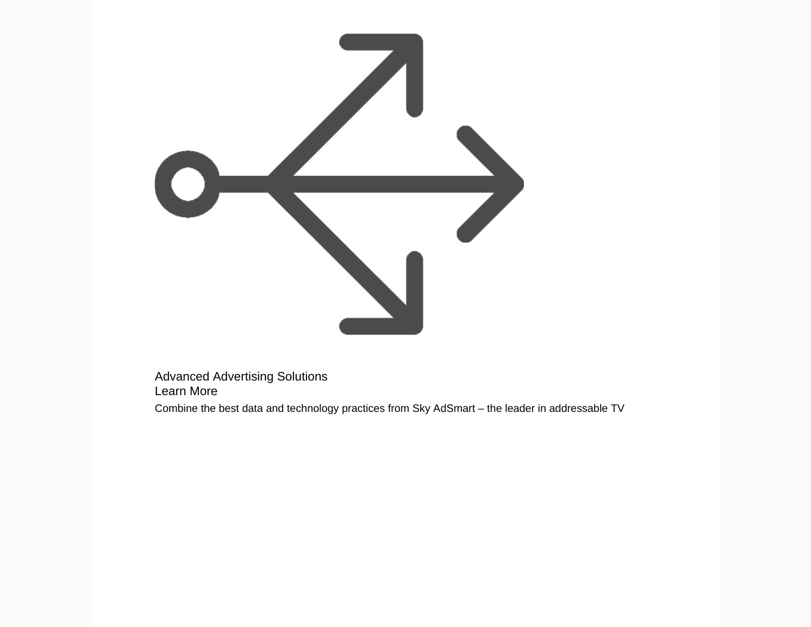

Advanced Advertising Solutions Learn More

Combine the best data and technology practices from Sky AdSmart – the leader in addressable TV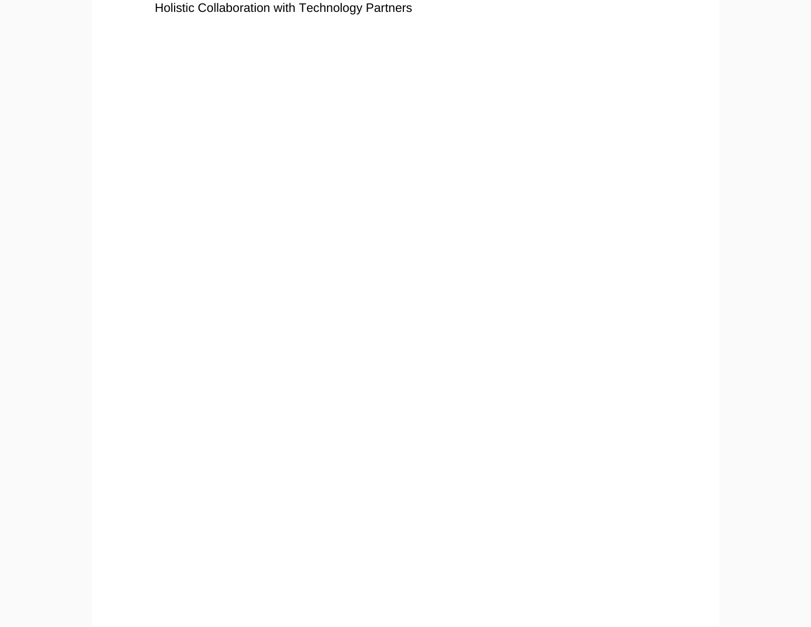Holistic Collaboration with Technology Partners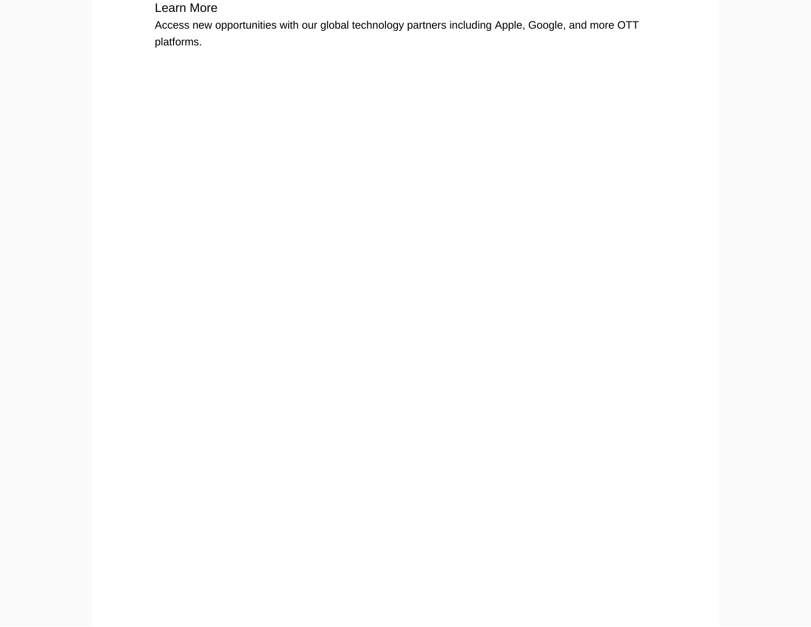Learn More

Access new opportunities with our global technology partners including Apple, Google, and more OTT platforms.